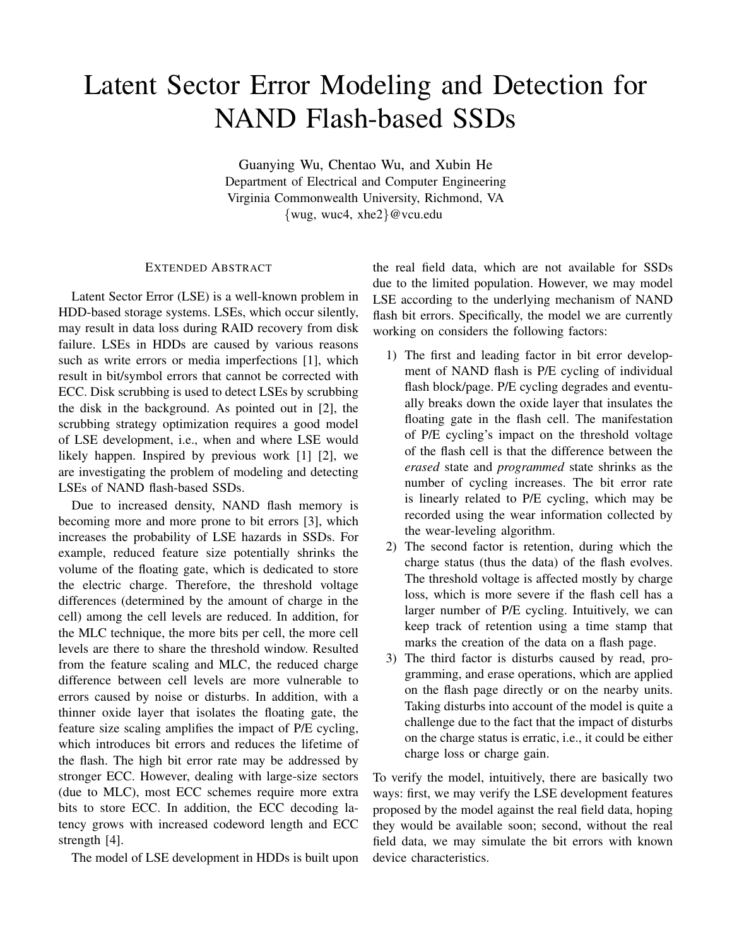## Latent Sector Error Modeling and Detection for NAND Flash-based SSDs

Guanying Wu, Chentao Wu, and Xubin He Department of Electrical and Computer Engineering Virginia Commonwealth University, Richmond, VA {wug, wuc4, xhe2}@vcu.edu

## EXTENDED ABSTRACT

Latent Sector Error (LSE) is a well-known problem in HDD-based storage systems. LSEs, which occur silently, may result in data loss during RAID recovery from disk failure. LSEs in HDDs are caused by various reasons such as write errors or media imperfections [1], which result in bit/symbol errors that cannot be corrected with ECC. Disk scrubbing is used to detect LSEs by scrubbing the disk in the background. As pointed out in [2], the scrubbing strategy optimization requires a good model of LSE development, i.e., when and where LSE would likely happen. Inspired by previous work [1] [2], we are investigating the problem of modeling and detecting LSEs of NAND flash-based SSDs.

Due to increased density, NAND flash memory is becoming more and more prone to bit errors [3], which increases the probability of LSE hazards in SSDs. For example, reduced feature size potentially shrinks the volume of the floating gate, which is dedicated to store the electric charge. Therefore, the threshold voltage differences (determined by the amount of charge in the cell) among the cell levels are reduced. In addition, for the MLC technique, the more bits per cell, the more cell levels are there to share the threshold window. Resulted from the feature scaling and MLC, the reduced charge difference between cell levels are more vulnerable to errors caused by noise or disturbs. In addition, with a thinner oxide layer that isolates the floating gate, the feature size scaling amplifies the impact of P/E cycling, which introduces bit errors and reduces the lifetime of the flash. The high bit error rate may be addressed by stronger ECC. However, dealing with large-size sectors (due to MLC), most ECC schemes require more extra bits to store ECC. In addition, the ECC decoding latency grows with increased codeword length and ECC strength [4].

The model of LSE development in HDDs is built upon

the real field data, which are not available for SSDs due to the limited population. However, we may model LSE according to the underlying mechanism of NAND flash bit errors. Specifically, the model we are currently working on considers the following factors:

- 1) The first and leading factor in bit error development of NAND flash is P/E cycling of individual flash block/page. P/E cycling degrades and eventually breaks down the oxide layer that insulates the floating gate in the flash cell. The manifestation of P/E cycling's impact on the threshold voltage of the flash cell is that the difference between the *erased* state and *programmed* state shrinks as the number of cycling increases. The bit error rate is linearly related to P/E cycling, which may be recorded using the wear information collected by the wear-leveling algorithm.
- 2) The second factor is retention, during which the charge status (thus the data) of the flash evolves. The threshold voltage is affected mostly by charge loss, which is more severe if the flash cell has a larger number of P/E cycling. Intuitively, we can keep track of retention using a time stamp that marks the creation of the data on a flash page.
- 3) The third factor is disturbs caused by read, programming, and erase operations, which are applied on the flash page directly or on the nearby units. Taking disturbs into account of the model is quite a challenge due to the fact that the impact of disturbs on the charge status is erratic, i.e., it could be either charge loss or charge gain.

To verify the model, intuitively, there are basically two ways: first, we may verify the LSE development features proposed by the model against the real field data, hoping they would be available soon; second, without the real field data, we may simulate the bit errors with known device characteristics.